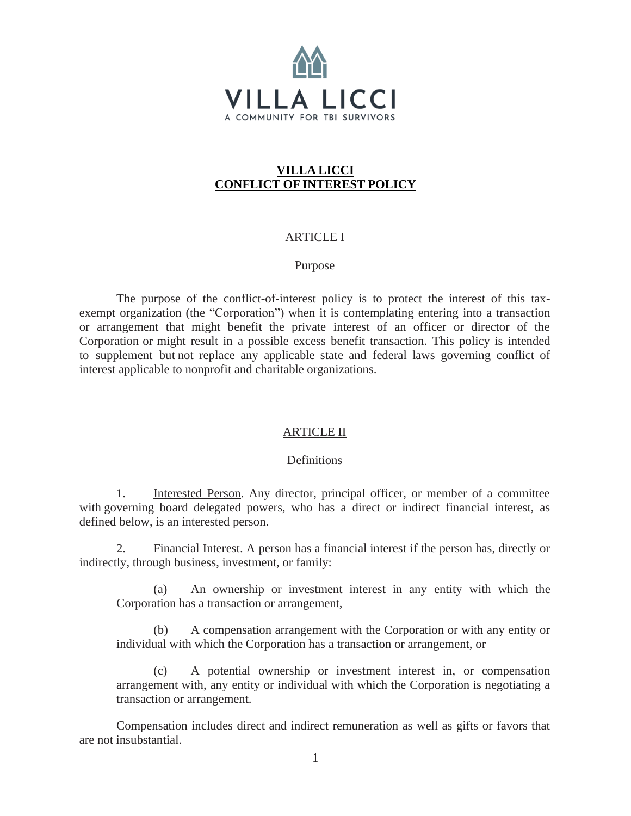

# **VILLA LICCI CONFLICT OF INTEREST POLICY**

# ARTICLE I

### Purpose

The purpose of the conflict-of-interest policy is to protect the interest of this taxexempt organization (the "Corporation") when it is contemplating entering into a transaction or arrangement that might benefit the private interest of an officer or director of the Corporation or might result in a possible excess benefit transaction. This policy is intended to supplement but not replace any applicable state and federal laws governing conflict of interest applicable to nonprofit and charitable organizations.

### ARTICLE II

### Definitions

1. Interested Person. Any director, principal officer, or member of a committee with governing board delegated powers, who has a direct or indirect financial interest, as defined below, is an interested person.

2. Financial Interest. A person has a financial interest if the person has, directly or indirectly, through business, investment, or family:

(a) An ownership or investment interest in any entity with which the Corporation has a transaction or arrangement,

(b) A compensation arrangement with the Corporation or with any entity or individual with which the Corporation has a transaction or arrangement, or

A potential ownership or investment interest in, or compensation arrangement with, any entity or individual with which the Corporation is negotiating a transaction or arrangement.

Compensation includes direct and indirect remuneration as well as gifts or favors that are not insubstantial.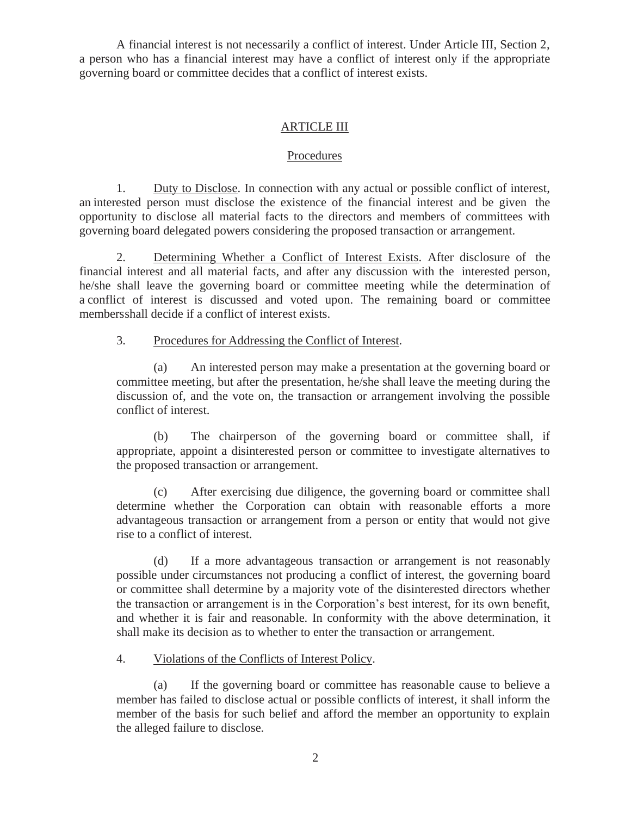A financial interest is not necessarily a conflict of interest. Under Article III, Section 2, a person who has a financial interest may have a conflict of interest only if the appropriate governing board or committee decides that a conflict of interest exists.

## ARTICLE III

#### Procedures

1. Duty to Disclose. In connection with any actual or possible conflict of interest, an interested person must disclose the existence of the financial interest and be given the opportunity to disclose all material facts to the directors and members of committees with governing board delegated powers considering the proposed transaction or arrangement.

2. Determining Whether a Conflict of Interest Exists. After disclosure of the financial interest and all material facts, and after any discussion with the interested person, he/she shall leave the governing board or committee meeting while the determination of a conflict of interest is discussed and voted upon. The remaining board or committee membersshall decide if a conflict of interest exists.

#### 3. Procedures for Addressing the Conflict of Interest.

(a) An interested person may make a presentation at the governing board or committee meeting, but after the presentation, he/she shall leave the meeting during the discussion of, and the vote on, the transaction or arrangement involving the possible conflict of interest.

(b) The chairperson of the governing board or committee shall, if appropriate, appoint a disinterested person or committee to investigate alternatives to the proposed transaction or arrangement.

(c) After exercising due diligence, the governing board or committee shall determine whether the Corporation can obtain with reasonable efforts a more advantageous transaction or arrangement from a person or entity that would not give rise to a conflict of interest.

(d) If a more advantageous transaction or arrangement is not reasonably possible under circumstances not producing a conflict of interest, the governing board or committee shall determine by a majority vote of the disinterested directors whether the transaction or arrangement is in the Corporation's best interest, for its own benefit, and whether it is fair and reasonable. In conformity with the above determination, it shall make its decision as to whether to enter the transaction or arrangement.

## 4. Violations of the Conflicts of Interest Policy.

(a) If the governing board or committee has reasonable cause to believe a member has failed to disclose actual or possible conflicts of interest, it shall inform the member of the basis for such belief and afford the member an opportunity to explain the alleged failure to disclose.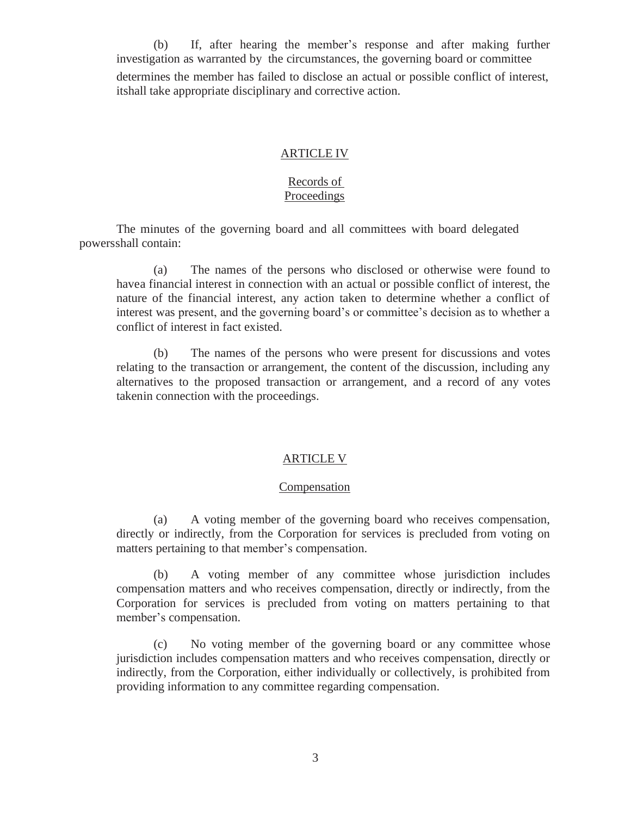(b) If, after hearing the member's response and after making further investigation as warranted by the circumstances, the governing board or committee determines the member has failed to disclose an actual or possible conflict of interest, itshall take appropriate disciplinary and corrective action.

#### ARTICLE IV

### Records of **Proceedings**

The minutes of the governing board and all committees with board delegated powersshall contain:

(a) The names of the persons who disclosed or otherwise were found to havea financial interest in connection with an actual or possible conflict of interest, the nature of the financial interest, any action taken to determine whether a conflict of interest was present, and the governing board's or committee's decision as to whether a conflict of interest in fact existed.

(b) The names of the persons who were present for discussions and votes relating to the transaction or arrangement, the content of the discussion, including any alternatives to the proposed transaction or arrangement, and a record of any votes takenin connection with the proceedings.

## ARTICLE V

#### **Compensation**

(a) A voting member of the governing board who receives compensation, directly or indirectly, from the Corporation for services is precluded from voting on matters pertaining to that member's compensation.

(b) A voting member of any committee whose jurisdiction includes compensation matters and who receives compensation, directly or indirectly, from the Corporation for services is precluded from voting on matters pertaining to that member's compensation.

(c) No voting member of the governing board or any committee whose jurisdiction includes compensation matters and who receives compensation, directly or indirectly, from the Corporation, either individually or collectively, is prohibited from providing information to any committee regarding compensation.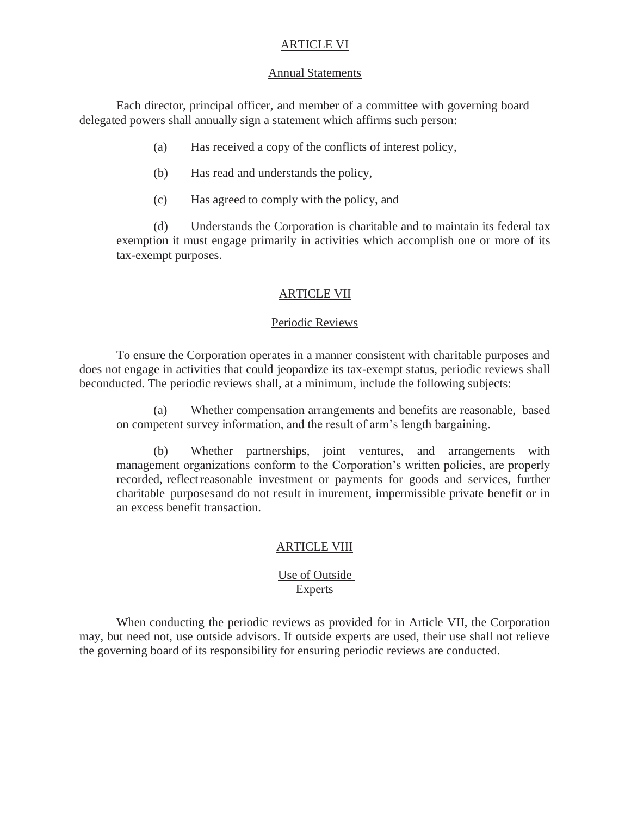## ARTICLE VI

#### Annual Statements

Each director, principal officer, and member of a committee with governing board delegated powers shall annually sign a statement which affirms such person:

- (a) Has received a copy of the conflicts of interest policy,
- (b) Has read and understands the policy,
- (c) Has agreed to comply with the policy, and

(d) Understands the Corporation is charitable and to maintain its federal tax exemption it must engage primarily in activities which accomplish one or more of its tax-exempt purposes.

### ARTICLE VII

#### Periodic Reviews

To ensure the Corporation operates in a manner consistent with charitable purposes and does not engage in activities that could jeopardize its tax-exempt status, periodic reviews shall beconducted. The periodic reviews shall, at a minimum, include the following subjects:

(a) Whether compensation arrangements and benefits are reasonable, based on competent survey information, and the result of arm's length bargaining.

(b) Whether partnerships, joint ventures, and arrangements with management organizations conform to the Corporation's written policies, are properly recorded, reflectreasonable investment or payments for goods and services, further charitable purposesand do not result in inurement, impermissible private benefit or in an excess benefit transaction.

### ARTICLE VIII

### Use of Outside **Experts**

When conducting the periodic reviews as provided for in Article VII, the Corporation may, but need not, use outside advisors. If outside experts are used, their use shall not relieve the governing board of its responsibility for ensuring periodic reviews are conducted.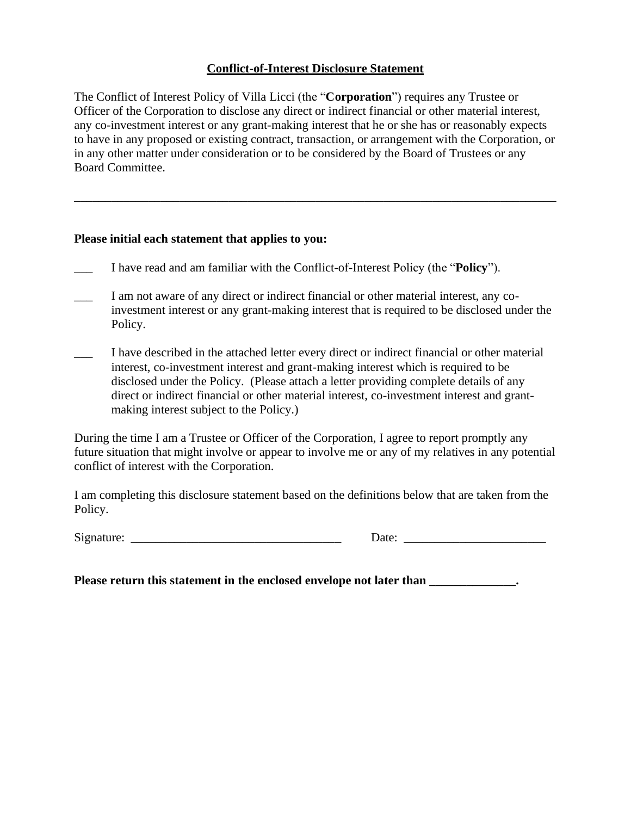## **Conflict-of-Interest Disclosure Statement**

The Conflict of Interest Policy of Villa Licci (the "**Corporation**") requires any Trustee or Officer of the Corporation to disclose any direct or indirect financial or other material interest, any co-investment interest or any grant-making interest that he or she has or reasonably expects to have in any proposed or existing contract, transaction, or arrangement with the Corporation, or in any other matter under consideration or to be considered by the Board of Trustees or any Board Committee.

\_\_\_\_\_\_\_\_\_\_\_\_\_\_\_\_\_\_\_\_\_\_\_\_\_\_\_\_\_\_\_\_\_\_\_\_\_\_\_\_\_\_\_\_\_\_\_\_\_\_\_\_\_\_\_\_\_\_\_\_\_\_\_\_\_\_\_\_\_\_\_\_\_\_\_\_\_\_

#### **Please initial each statement that applies to you:**

- \_\_\_ I have read and am familiar with the Conflict-of-Interest Policy (the "**Policy**").
- I am not aware of any direct or indirect financial or other material interest, any coinvestment interest or any grant-making interest that is required to be disclosed under the Policy.
- I have described in the attached letter every direct or indirect financial or other material interest, co-investment interest and grant-making interest which is required to be disclosed under the Policy. (Please attach a letter providing complete details of any direct or indirect financial or other material interest, co-investment interest and grantmaking interest subject to the Policy.)

During the time I am a Trustee or Officer of the Corporation, I agree to report promptly any future situation that might involve or appear to involve me or any of my relatives in any potential conflict of interest with the Corporation.

I am completing this disclosure statement based on the definitions below that are taken from the Policy.

| Signature: |  |
|------------|--|
|            |  |

Date:  $\Box$ 

**Please return this statement in the enclosed envelope not later than**  $\cdot$ **.**